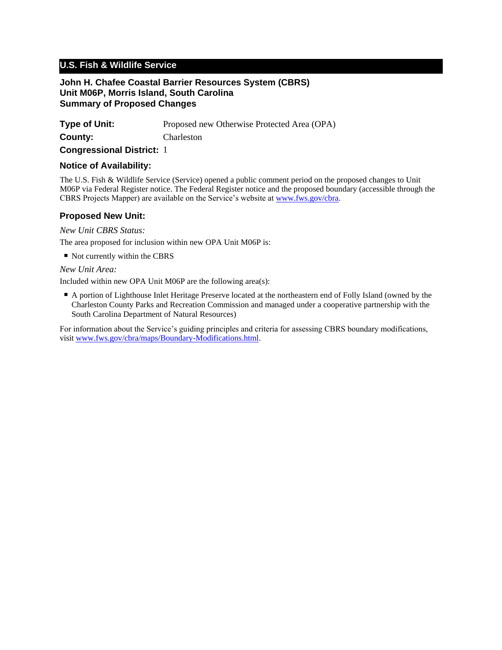# **U.S. Fish & Wildlife Service**

#### **John H. Chafee Coastal Barrier Resources System (CBRS) Unit M06P, Morris Island, South Carolina Summary of Proposed Changes**

| <b>Type of Unit:</b> | Proposed new Otherwise Protected Area (OPA) |
|----------------------|---------------------------------------------|
| County:              | Charleston                                  |

**Congressional District:** 1

### **Notice of Availability:**

The U.S. Fish & Wildlife Service (Service) opened a public comment period on the proposed changes to Unit M06P via Federal Register notice. The Federal Register notice and the proposed boundary (accessible through the CBRS Projects Mapper) are available on the Service's website at www.fws.gov/cbra.

## **Proposed New Unit:**

*New Unit CBRS Status:*

The area proposed for inclusion within new OPA Unit M06P is:

■ Not currently within the CBRS

*New Unit Area:*

Included within new OPA Unit M06P are the following area(s):

■ A portion of Lighthouse Inlet Heritage Preserve located at the northeastern end of Folly Island (owned by the Charleston County Parks and Recreation Commission and managed under a cooperative partnership with the South Carolina Department of Natural Resources)

For information about the Service's guiding principles and criteria for assessing CBRS boundary modifications, visit www.fws.gov/cbra/maps/Boundary-Modifications.html.